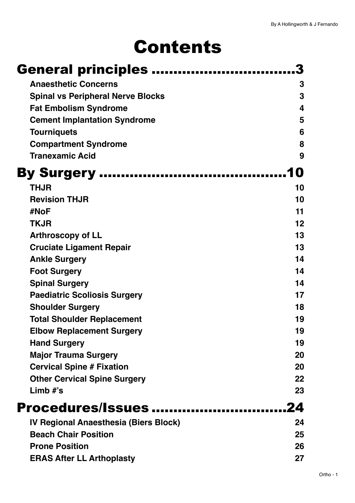# Contents

| General principles                       |     |
|------------------------------------------|-----|
| <b>Anaesthetic Concerns</b>              | 3   |
| <b>Spinal vs Peripheral Nerve Blocks</b> | 3   |
| <b>Fat Embolism Syndrome</b>             | 4   |
| <b>Cement Implantation Syndrome</b>      | 5   |
| <b>Tourniquets</b>                       | 6   |
| <b>Compartment Syndrome</b>              | 8   |
| <b>Tranexamic Acid</b>                   | 9   |
| <b>By Surgery </b>                       | IO) |
| <b>THJR</b>                              | 10  |
| <b>Revision THJR</b>                     | 10  |
| #NoF                                     | 11  |
| <b>TKJR</b>                              | 12  |
| <b>Arthroscopy of LL</b>                 | 13  |
| <b>Cruciate Ligament Repair</b>          | 13  |
| <b>Ankle Surgery</b>                     | 14  |
| <b>Foot Surgery</b>                      | 14  |
| <b>Spinal Surgery</b>                    | 14  |
| <b>Paediatric Scoliosis Surgery</b>      | 17  |
| <b>Shoulder Surgery</b>                  | 18  |
| <b>Total Shoulder Replacement</b>        | 19  |
| <b>Elbow Replacement Surgery</b>         | 19  |
| <b>Hand Surgery</b>                      | 19  |
| <b>Major Trauma Surgery</b>              | 20  |
| <b>Cervical Spine # Fixation</b>         | 20  |
| <b>Other Cervical Spine Surgery</b>      | 22  |
| Limb $#$ 's                              | 23  |
| Procedures/Issues                        | 24  |
| IV Regional Anaesthesia (Biers Block)    | 24  |
| <b>Beach Chair Position</b>              | 25  |
| <b>Prone Position</b>                    | 26  |
| <b>ERAS After LL Arthoplasty</b>         | 27  |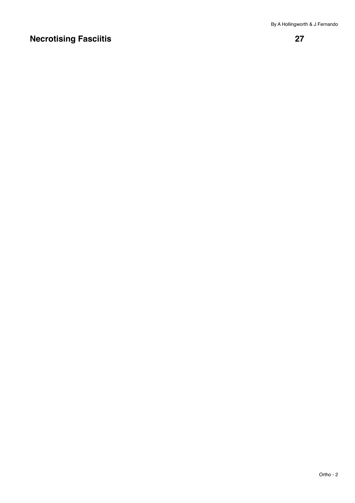### **[Necrotising Fasciitis 27](#page-26-1)**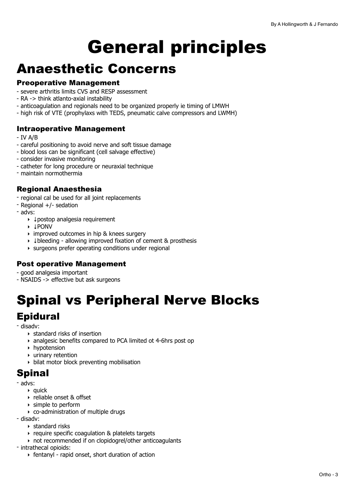# <span id="page-2-0"></span>General principles

### <span id="page-2-1"></span>Anaesthetic Concerns

#### Preoperative Management

- severe arthritis limits CVS and RESP assessment
- RA -> think atlanto-axial instability
- anticoagulation and regionals need to be organized properly ie timing of LMWH
- high risk of VTE (prophylaxs with TEDS, pneumatic calve compressors and LWMH)

#### Intraoperative Management

- IV A/B
- careful positioning to avoid nerve and soft tissue damage
- blood loss can be significant (cell salvage effective)
- consider invasive monitoring
- catheter for long procedure or neuraxial technique
- maintain normothermia

#### Regional Anaesthesia

- regional cal be used for all joint replacements
- Regional +/- sedation
- advs:
	- ‣ ↓postop analgesia requirement
	- ‣ ↓PONV
	- ‣ improved outcomes in hip & knees surgery
	- ‣ ↓bleeding allowing improved fixation of cement & prosthesis
	- ‣ surgeons prefer operating conditions under regional

#### Post operative Management

- good analgesia important

- NSAIDS -> effective but ask surgeons

## <span id="page-2-2"></span>Spinal vs Peripheral Nerve Blocks

### Epidural

- disadv:

- ‣ standard risks of insertion
- ‣ analgesic benefits compared to PCA limited ot 4-6hrs post op
- ‣ hypotension
- ‣ urinary retention
- ‣ bilat motor block preventing mobilisation

### **Spinal**

- advs:

- $\rightarrow$  quick
- ‣ reliable onset & offset
- ‣ simple to perform
- ‣ co-administration of multiple drugs
- disadv:
	- ‣ standard risks
	- ‣ require specific coagulation & platelets targets
	- ‣ not recommended if on clopidogrel/other anticoagulants
- intrathecal opioids:
	- ‣ fentanyl rapid onset, short duration of action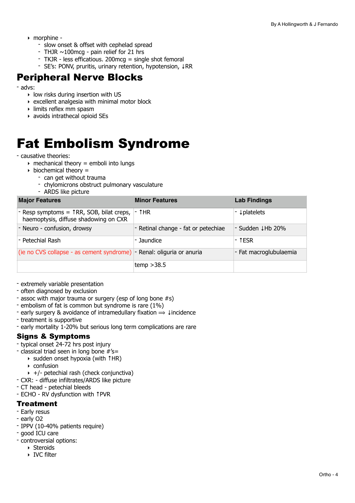- ‣ morphine
	- slow onset & offset with cephelad spread
	- THJR  $\sim$ 100mcg pain relief for 21 hrs
	- TKJR less efficatious. 200mcg = single shot femoral
	- SE's: PONV, pruritis, urinary retention, hypotension, ↓RR

### Peripheral Nerve Blocks

- advs:

- ‣ low risks during insertion with US
- $\rightarrow$  excellent analgesia with minimal motor block
- ‣ limits reflex mm spasm
- ‣ avoids intrathecal opioid SEs

## <span id="page-3-0"></span>Fat Embolism Syndrome

#### - causative theories:

- $\rightarrow$  mechanical theory = emboli into lungs
- $\rightarrow$  biochemical theory =
	- can get without trauma
	- chylomicrons obstruct pulmonary vasculature
	- ARDS like picture

| <b>Major Features</b>                                                                                                 | <b>Minor Features</b>               | <b>Lab Findings</b>    |
|-----------------------------------------------------------------------------------------------------------------------|-------------------------------------|------------------------|
| - Resp symptoms = $\uparrow$ RR, SOB, bilat creps, $\vert \cdot \uparrow$ HR<br>haemoptysis, diffuse shadowing on CXR |                                     | - ↓ platelets          |
| - Neuro - confusion, drowsy                                                                                           | - Retinal change - fat or petechiae | - Sudden ↓Hb 20%       |
| - Petechial Rash                                                                                                      | l- Jaundice.                        | - †ESR                 |
| (ie no CVS collapse - as cement syndrome) - Renal: oliguria or anuria                                                 |                                     | - Fat macroglubulaemia |
|                                                                                                                       | temp $>38.5$                        |                        |

- extremely variable presentation
- often diagnosed by exclusion
- assoc with major trauma or surgery (esp of long bone #s)
- embolism of fat is common but syndrome is rare (1%)
- early surgery & avoidance of intramedullary fixation  $\Rightarrow \downarrow$  incidence
- treatment is supportive
- early mortality 1-20% but serious long term complications are rare

#### Signs & Symptoms

- typical onset 24-72 hrs post injury
- classical triad seen in long bone #'s=
	- ‣ sudden onset hypoxia (with ↑HR)
	- ‣ confusion
	- ‣ +/- petechial rash (check conjunctiva)
- CXR: diffuse infiltrates/ARDS like picture
- CT head petechial bleeds
- ECHO RV dysfunction with ↑PVR

#### **Treatment**

- Early resus
- early O2
- IPPV (10-40% patients require)
- good ICU care
- controversial options:
	- ‣ Steroids
	- ‣ IVC filter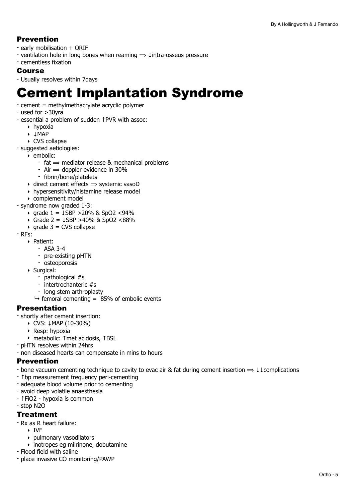#### Prevention

- early mobilisation + ORIF
- ventilation hole in long bones when reaming ⟹ ↓intra-osseus pressure
- cementless fixation

#### Course

- Usually resolves within 7days

## <span id="page-4-0"></span>Cement Implantation Syndrome

- cement = methylmethacrylate acryclic polymer
- used for >30yra
- essential a problem of sudden ↑PVR with assoc:
	- ‣ hypoxia
	- ‣ ↓MAP
	- ‣ CVS collapse
- suggested aetiologies:
	- ‣ embolic:
		- $-$  fat  $\Rightarrow$  mediator release & mechanical problems
		- Air  $\Rightarrow$  doppler evidence in 30%
		- fibrin/bone/platelets
	- $\rightarrow$  direct cement effects  $\rightarrow$  systemic vasoD
	- ‣ hypersensitivity/histamine release model
	- ‣ complement model
- syndrome now graded 1-3:
	- ‣ grade 1 = ↓SBP >20% & SpO2 <94%
	- ‣ Grade 2 = ↓SBP >40% & SpO2 <88%
	- $\rightarrow$  grade 3 = CVS collapse
- RFs:
	- ‣ Patient:
		- ASA 3-4
			- pre-existing pHTN
			- osteoporosis
	- ‣ Surgical:
		- pathological #s
		- intertrochanteric #s
		- long stem arthroplasty
		- $\rightarrow$  femoral cementing = 85% of embolic events

#### Presentation

- shortly after cement insertion:

- ‣ CVS: ↓MAP (10-30%)
- ‣ Resp: hypoxia
- ‣ metabolic: ↑met acidosis, ↑BSL
- pHTN resolves within 24hrs
- non diseased hearts can compensate in mins to hours

#### Prevention

- bone vacuum cementing technique to cavity to evac air & fat during cement insertion  $\Rightarrow \downarrow \downarrow$ complications
- ↑bp measurement frequency peri-cementing
- adequate blood volume prior to cementing
- avoid deep volatile anaesthesia
- ↑FiO2 hypoxia is common
- stop N2O

#### **Treatment**

- Rx as R heart failure:
	- ‣ IVF
	- ‣ pulmonary vasodilators
	- ‣ inotropes eg milrinone, dobutamine
- Flood field with saline
- place invasive CO monitoring/PAWP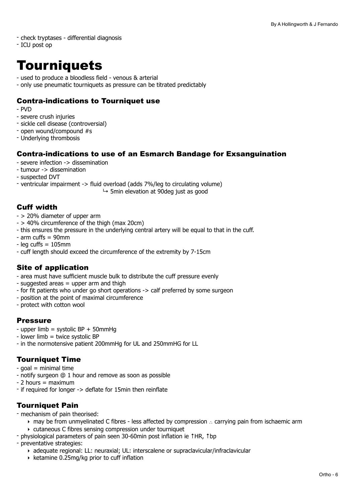- check tryptases differential diagnosis
- ICU post op

## <span id="page-5-0"></span>**Tourniquets**

- used to produce a bloodless field venous & arterial
- only use pneumatic tourniquets as pressure can be titrated predictably

#### Contra-indications to Tourniquet use

- $-$  PVD
- severe crush injuries
- sickle cell disease (controversial)
- open wound/compound #s
- Underlying thrombosis

#### Contra-indications to use of an Esmarch Bandage for Exsanguination

- severe infection -> dissemination
- tumour -> dissemination
- suspected DVT
- ventricular impairment -> fluid overload (adds 7%/leg to circulating volume)

 $\rightarrow$  5min elevation at 90deg just as good

#### Cuff width

- > 20% diameter of upper arm
- > 40% circumference of the thigh (max 20cm)
- this ensures the pressure in the underlying central artery will be equal to that in the cuff.
- arm cuffs = 90mm
- $-$  leg cuffs =  $105$ mm
- cuff length should exceed the circumference of the extremity by 7-15cm

#### Site of application

- area must have sufficient muscle bulk to distribute the cuff pressure evenly
- $-$  suggested areas  $=$  upper arm and thigh
- for fit patients who under go short operations -> calf preferred by some surgeon
- position at the point of maximal circumference
- protect with cotton wool

#### **Pressure**

- upper limb = systolic  $BP + 50$ mmHg
- lower limb = twice systolic BP
- in the normotensive patient 200mmHg for UL and 250mmHG for LL

#### Tourniquet Time

- $-$  goal = minimal time
- notify surgeon @ 1 hour and remove as soon as possible
- $2$  hours = maximum
- if required for longer -> deflate for 15min then reinflate

### Tourniquet Pain

- mechanism of pain theorised:
	- ‣ may be from unmyelinated C fibres less affected by compression ∴ carrying pain from ischaemic arm
	- ‣ cutaneous C fibres sensing compression under tourniquet
- physiological parameters of pain seen 30-60min post inflation ie ↑HR, ↑bp
- preventative strategies:
	- ‣ adequate regional: LL: neuraxial; UL: interscalene or supraclavicular/infraclavicular
	- ‣ ketamine 0.25mg/kg prior to cuff inflation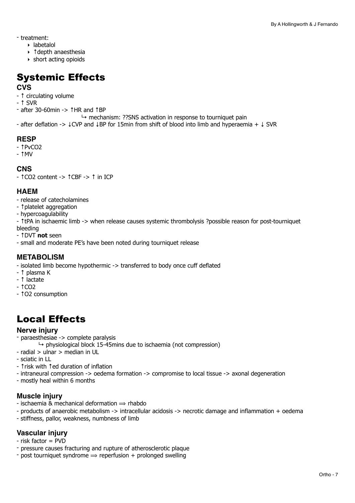- treatment:
	- ‣ labetalol
	- ‣ ↑depth anaesthesia
	- ‣ short acting opioids

## Systemic Effects

#### **CVS**

- ↑ circulating volume
- ↑ SVR
- after 30-60min -> ↑HR and ↑BP
	- $\rightarrow$  mechanism: ??SNS activation in response to tourniquet pain
- after deflation -> ↓CVP and ↓BP for 15min from shift of blood into limb and hyperaemia + ↓ SVR

#### **RESP**

- ↑PvCO2
- ↑MV

#### **CNS**

- ↑CO2 content -> ↑CBF -> ↑ in ICP

#### **HAEM**

- release of catecholamines
- ↑platelet aggregation
- hypercoagulability
- ↑tPA in ischaemic limb -> when release causes systemic thrombolysis ?possible reason for post-tourniquet bleeding
- ↑DVT **not** seen
- small and moderate PE's have been noted during tourniquet release

#### **METABOLISM**

- isolated limb become hypothermic -> transferred to body once cuff deflated
- ↑ plasma K
- ↑ lactate
- ↑CO2
- ↑O2 consumption

### Local Effects

#### **Nerve injury**

- paraesthesiae -> complete paralysis
	- $\rightarrow$  physiological block 15-45mins due to ischaemia (not compression)
- radial > ulnar > median in UL
- sciatic in LL
- ↑risk with ↑ed duration of inflation
- intraneural compression -> oedema formation -> compromise to local tissue -> axonal degeneration
- mostly heal within 6 months

#### **Muscle injury**

- ischaemia & mechanical deformation  $\Rightarrow$  rhabdo
- products of anaerobic metabolism -> intracellular acidosis -> necrotic damage and inflammation + oedema
- stiffness, pallor, weakness, numbness of limb

#### **Vascular injury**

- risk factor = PVD
- pressure causes fracturing and rupture of atherosclerotic plaque
- post tourniquet syndrome  $\Rightarrow$  reperfusion + prolonged swelling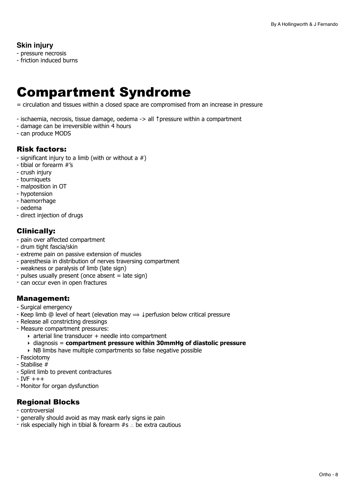#### **Skin injury**

- pressure necrosis
- friction induced burns

## <span id="page-7-0"></span>Compartment Syndrome

= circulation and tissues within a closed space are compromised from an increase in pressure

- ischaemia, necrosis, tissue damage, oedema -> all ↑pressure within a compartment
- damage can be irreversible within 4 hours
- can produce MODS

#### Risk factors:

- significant injury to a limb (with or without a  $#$ )
- tibial or forearm #'s
- crush injury
- tourniquets
- malposition in OT
- hypotension
- haemorrhage
- oedema
- direct injection of drugs

#### Clinically:

- pain over affected compartment
- drum tight fascia/skin
- extreme pain on passive extension of muscles
- paresthesia in distribution of nerves traversing compartment
- weakness or paralysis of limb (late sign)
- pulses usually present (once absent = late sign)
- can occur even in open fractures

#### Management:

- Surgical emergency
- Keep limb @ level of heart (elevation may  $\Rightarrow$  ‡perfusion below critical pressure
- Release all constricting dressings
- Measure compartment pressures:
	- ‣ arterial line transducer + needle into compartment
	- ‣ diagnosis = **compartment pressure within 30mmHg of diastolic pressure**
	- ‣ NB limbs have multiple compartments so false negative possible
- Fasciotomy
- Stabilise #
- Splint limb to prevent contractures
- $-$  IVF  $+++$
- Monitor for organ dysfunction

#### Regional Blocks

- controversial
- generally should avoid as may mask early signs ie pain
- risk especially high in tibial & forearm #s ∴ be extra cautious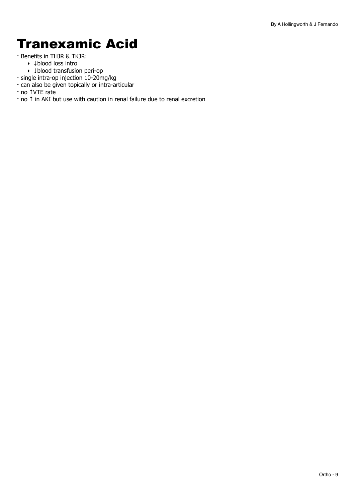## <span id="page-8-0"></span>Tranexamic Acid

- Benefits in THJR & TKJR:
	- ‣ ↓blood loss intro
	- ‣ ↓blood transfusion peri-op
- single intra-op injection 10-20mg/kg
- can also be given topically or intra-articular
- no ↑VTE rate
- no ↑ in AKI but use with caution in renal failure due to renal excretion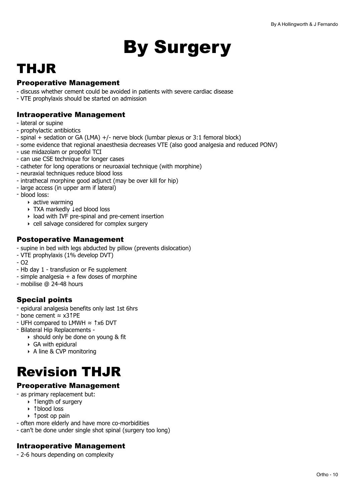# <span id="page-9-0"></span>By Surgery

## <span id="page-9-1"></span>THJR

#### Preoperative Management

- discuss whether cement could be avoided in patients with severe cardiac disease
- VTE prophylaxis should be started on admission

#### Intraoperative Management

- lateral or supine
- prophylactic antibiotics
- spinal + sedation or GA (LMA) +/- nerve block (lumbar plexus or 3:1 femoral block)
- some evidence that regional anaesthesia decreases VTE (also good analgesia and reduced PONV)
- use midazolam or propofol TCI
- can use CSE technique for longer cases
- catheter for long operations or neuroaxial technique (with morphine)
- neuraxial techniques reduce blood loss
- intrathecal morphine good adjunct (may be over kill for hip)
- large access (in upper arm if lateral)
- blood loss:
	- $\rightarrow$  active warming
	- ‣ TXA markedly ↓ed blood loss
	- ‣ load with IVF pre-spinal and pre-cement insertion
	- ‣ cell salvage considered for complex surgery

#### Postoperative Management

- supine in bed with legs abducted by pillow (prevents dislocation)
- VTE prophylaxis (1% develop DVT)
- O2
- Hb day 1 transfusion or Fe supplement
- $-$  simple analgesia  $+$  a few doses of morphine
- mobilise @ 24-48 hours

### Special points

- epidural analgesia benefits only last 1st 6hrs
- bone cement ≈ x3↑PE
- UFH compared to LMWH ≈ ↑x6 DVT
- Bilateral Hip Replacements
	- ‣ should only be done on young & fit
	- ‣ GA with epidural
	- ‣ A line & CVP monitoring

## <span id="page-9-2"></span>Revision THJR

#### Preoperative Management

- as primary replacement but:
	- ‣ ↑length of surgery
	- ‣ ↑blood loss
	- ‣ ↑post op pain
- often more elderly and have more co-morbidities
- can't be done under single shot spinal (surgery too long)

#### Intraoperative Management

- 2-6 hours depending on complexity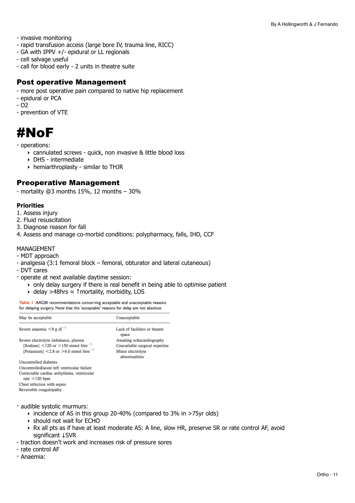- invasive monitoring
- rapid transfusion access (large bore IV, trauma line, RICC)
- GA with IPPV +/- epidural or LL regionals
- cell salvage useful
- call for blood early 2 units in theatre suite

#### Post operative Management

- more post operative pain compared to native hip replacement
- epidural or PCA
- O2
- prevention of VTE

### <span id="page-10-0"></span>#NoF

- operations:

- ‣ cannulated screws quick, non invasive & little blood loss
- ‣ DHS intermediate
- ‣ hemiarthroplasty similar to THJR

#### Preoperative Management

- mortality @3 months 15%, 12 months – 30%

#### **Priorities**

- 1. Assess injury
- 2. Fluid resuscitation
- 3. Diagnose reason for fall
- 4. Assess and manage co-morbid conditions: polypharmacy, falls, IHD, CCF

#### MANAGEMENT

- MDT approach
- analgesia (3:1 femoral block femoral, obturator and lateral cutaneous)
- DVT cares
- operate at next available daytime session:
	- ‣ only delay surgery if there is real benefit in being able to optimise patient
	- ‣ delay >48hrs ≈ ↑mortality, morbidity, LOS

Table 1 AAGBI recommendations concerning acceptable and unacceptable reasons for delaying surgery. Note that the 'acceptable' reasons for delay are not absolute

| May be acceptable                                              | Unacceptable                           |
|----------------------------------------------------------------|----------------------------------------|
| Severe anaemia $\leq 8$ g dl <sup>-1</sup>                     | Lack of facilities or theatre<br>space |
| Severe electrolyte imbalance, plasma                           | Awaiting echocardiography              |
| [Sodium] $\leq$ 120 or $>$ 150 mmol litre <sup>-1</sup>        | Unavailable surgical expertise         |
| [Potassium] $\leq$ 2.8 or $\geq$ 6.0 mmol litre <sup>-1</sup>  | Minor electrolyte<br>abnormalities     |
| Uncontrolled diabetes                                          |                                        |
| Uncontrolled/acute left ventricular failure                    |                                        |
| Correctable cardiac arrhythmia, ventricular<br>rate $>120$ bpm |                                        |
| Chest infection with sepsis                                    |                                        |
| Reversible coagulopathy                                        |                                        |

- audible systolic murmurs:
	- ‣ incidence of AS in this group 20-40% (compared to 3% in >75yr olds)
	- ‣ should not wait for ECHO
	- ‣ Rx all pts as if have at least moderate AS: A line, slow HR, preserve SR or rate control AF, avoid significant ↓SVR
- traction doesn't work and increases risk of pressure sores
- rate control AF
- Anaemia: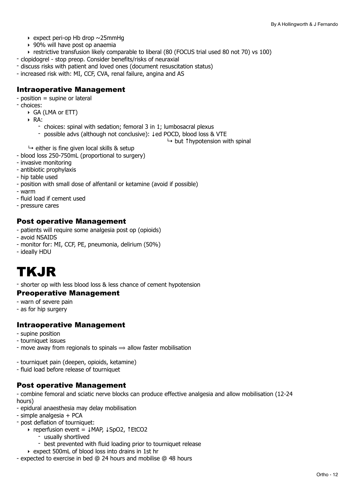- $\rightarrow$  expect peri-op Hb drop  $\sim$  25mmHq
- ‣ 90% will have post op anaemia
- ‣ restrictive transfusion likely comparable to liberal (80 (FOCUS trial used 80 not 70) vs 100)
- clopidogrel stop preop. Consider benefits/risks of neuraxial
- discuss risks with patient and loved ones (document resuscitation status)
- increased risk with: MI, CCF, CVA, renal failure, angina and AS

#### Intraoperative Management

- position = supine or lateral
- choices:
	- ‣ GA (LMA or ETT)
	- ‣ RA:
		- choices: spinal with sedation; femoral 3 in 1; lumbosacral plexus
		- possible advs (although not conclusive): ↓ed POCD, blood loss & VTE
			- ↳ but ↑hypotension with spinal
	- $\rightarrow$  either is fine given local skills & setup
- blood loss 250-750mL (proportional to surgery)
- invasive monitoring
- antibiotic prophylaxis
- hip table used
- position with small dose of alfentanil or ketamine (avoid if possible)
- warm
- fluid load if cement used
- pressure cares

#### Post operative Management

- patients will require some analgesia post op (opioids)
- avoid NSAIDS
- monitor for: MI, CCF, PE, pneumonia, delirium (50%)
- ideally HDU

## <span id="page-11-0"></span>TKJR

- shorter op with less blood loss & less chance of cement hypotension

#### Preoperative Management

- warn of severe pain
- as for hip surgery

#### Intraoperative Management

- supine position
- tourniquet issues
- move away from regionals to spinals  $\Rightarrow$  allow faster mobilisation
- tourniquet pain (deepen, opioids, ketamine)
- fluid load before release of tourniquet

#### Post operative Management

- combine femoral and sciatic nerve blocks can produce effective analgesia and allow mobilisation (12-24 hours)

- epidural anaesthesia may delay mobilisation
- simple analgesia + PCA
- post deflation of tourniquet:
	- ‣ reperfusion event = ↓MAP, ↓SpO2, ↑EtCO2
		- usually shortlived
		- best prevented with fluid loading prior to tourniquet release
	- ‣ expect 500mL of blood loss into drains in 1st hr
- expected to exercise in bed @ 24 hours and mobilise @ 48 hours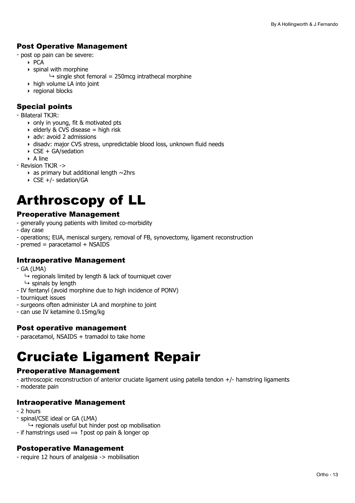#### Post Operative Management

- post op pain can be severe:

- ‣ PCA
- ‣ spinal with morphine
	- $\rightarrow$  single shot femoral = 250mcg intrathecal morphine
- ‣ high volume LA into joint
- ‣ regional blocks

#### Special points

- Bilateral TKJR:

- only in young, fit & motivated pts
- $\rightarrow$  elderly & CVS disease = high risk
- ‣ adv: avoid 2 admissions
- ‣ disadv: major CVS stress, unpredictable blood loss, unknown fluid needs
- ‣ CSE + GA/sedation

‣ A line

- Revision TKJR ->

- $\rightarrow$  as primary but additional length  $\sim$ 2hrs
- ‣ CSE +/- sedation/GA

## <span id="page-12-0"></span>Arthroscopy of LL

#### Preoperative Management

- generally young patients with limited co-morbidity
- day case
- operations; EUA, meniscal surgery, removal of FB, synovectomy, ligament reconstruction
- premed = paracetamol + NSAIDS

#### Intraoperative Management

- GA (LMA)
	- $\rightarrow$  regionals limited by length & lack of tourniquet cover  $\mapsto$  spinals by length
- IV fentanyl (avoid morphine due to high incidence of PONV)
- tourniquet issues
- surgeons often administer LA and morphine to joint
- can use IV ketamine 0.15mg/kg

#### Post operative management

- paracetamol, NSAIDS + tramadol to take home

## <span id="page-12-1"></span>Cruciate Ligament Repair

#### Preoperative Management

- arthroscopic reconstruction of anterior cruciate ligament using patella tendon +/- hamstring ligaments

- moderate pain

#### Intraoperative Management

- 2 hours
- spinal/CSE ideal or GA (LMA)
- $\rightarrow$  regionals useful but hinder post op mobilisation
- if hamstrings used  $\Rightarrow$  ↑ post op pain & longer op

#### Postoperative Management

- require 12 hours of analgesia -> mobilisation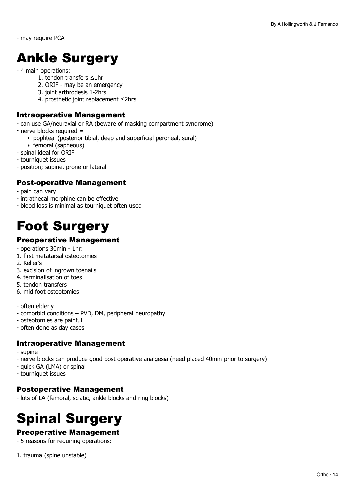- may require PCA

## <span id="page-13-0"></span>Ankle Surgery

#### - 4 main operations:

- 1. tendon transfers ≤1hr
- 2. ORIF may be an emergency
- 3. joint arthrodesis 1-2hrs
- 4. prosthetic joint replacement ≤2hrs

#### Intraoperative Management

- can use GA/neuraxial or RA (beware of masking compartment syndrome)
- nerve blocks required =
	- ‣ popliteal (posterior tibial, deep and superficial peroneal, sural)
	- ‣ femoral (sapheous)
- spinal ideal for ORIF
- tourniquet issues
- position; supine, prone or lateral

#### Post-operative Management

- pain can vary
- intrathecal morphine can be effective
- blood loss is minimal as tourniquet often used

### <span id="page-13-1"></span>Foot Surgery

#### Preoperative Management

- operations 30min 1hr:
- 1. first metatarsal osteotomies
- 2. Keller's
- 3. excision of ingrown toenails
- 4. terminalisation of toes
- 5. tendon transfers
- 6. mid foot osteotomies
- often elderly
- comorbid conditions PVD, DM, peripheral neuropathy
- osteotomies are painful
- often done as day cases

#### Intraoperative Management

- supine
- nerve blocks can produce good post operative analgesia (need placed 40min prior to surgery)
- quick GA (LMA) or spinal
- tourniquet issues

#### Postoperative Management

- lots of LA (femoral, sciatic, ankle blocks and ring blocks)

## <span id="page-13-2"></span>Spinal Surgery

#### Preoperative Management

- 5 reasons for requiring operations:
- 1. trauma (spine unstable)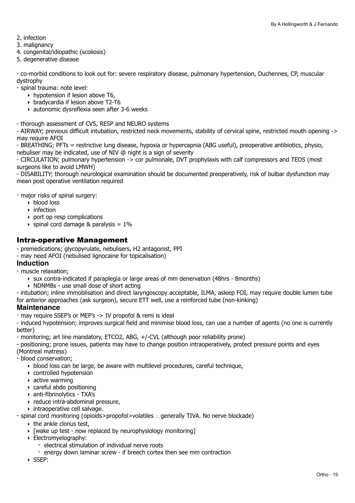- 2. infection
- 3. malignancy
- 4. congenital/idiopathic (scoliosis)
- 5. degenerative disease

- co-morbid conditions to look out for: severe respiratory disease, pulmonary hypertension, Duchennes, CP, muscular dystrophy

- spinal trauma: note level:

- ‣ hypotension if lesion above T6,
- ‣ bradycardia if lesion above T2-T6
- ‣ autonomic dysreflexia seen after 3-6 weeks

- thorough assessment of CVS, RESP and NEURO systems

- AIRWAY; previous difficult intubation, restricted neck movements, stability of cervical spine, restricted mouth opening -> may require AFOI

- BREATHING; PFTs = restrictive lung disease, hypoxia or hypercapnia (ABG useful), preoperative antibiotics, physio, nebuliser may be indicated, use of NIV @ night is a sign of severity

- CIRCULATION; pulmonary hypertension -> cor pulmonale, DVT prophylaxis with calf compressors and TEDS (most surgeons like to avoid LMWH)

- DISABILITY; thorough neurological examination should be documented preoperatively, risk of bulbar dysfunction may mean post operative ventilation required

- major risks of spinal surgery:

- ‣ blood loss
- ‣ infection
- ‣ port op resp complications
- $\rightarrow$  spinal cord damage & paralysis = 1%

#### Intra-operative Management

- premedications; glycopyrulate, nebulisers, H2 antagonist, PPI

- may need AFOI (nebulised lignocaine for topicalisation)

#### **Induction**

- muscle relaxation;
	- ‣ sux contra-indicated if paraplegia or large areas of mm denervation (48hrs 8months)
	- ‣ NDNMBs use small dose of short acting
- intubation; inline immoblisation and direct laryngoscopy acceptable, ILMA, asleep FOI, may require double lumen tube for anterior approaches (ask surgeon), secure ETT well, use a reinforced tube (non-kinking)

#### **Maintenance**

- may require SSEP's or MEP's -> IV propofol & remi is ideal

- induced hypotension; improves surgical field and minimise blood loss, can use a number of agents (no one is currently better)

- monitoring; art line mandatory, ETCO2, ABG, +/-CVL (although poor reliability prone)

- positioning; prone issues, patients may have to change position intraoperatively, protect pressure points and eyes (Montreal matress)

- blood conservation;

- ‣ blood loss can be large, be aware with multilevel procedures, careful technique,
- ‣ controlled hypotension
- $\rightarrow$  active warming
- ‣ careful abdo positioning
- ‣ anti-fibrinolytics TXA's
- ‣ reduce intra-abdominal pressure,
- ‣ intraoperative cell salvage.

- spinal cord monitoring (opioids>propofol>volatiles ∴ generally TIVA. No nerve blockade)

- $\triangleright$  the ankle clonus test,
- ‣ [wake up test now replaced by neurophysiology monitoring]
- ‣ Electromyelography:
	- electrical stimulation of individual nerve roots
	- energy down laminar screw if breech cortex then see mm contraction
- ‣ SSEP: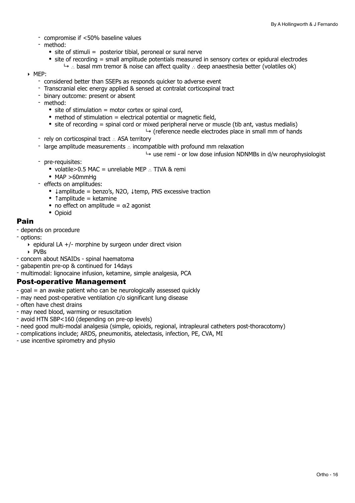- compromise if <50% baseline values
- method:
	- $\bullet$  site of stimuli = posterior tibial, peroneal or sural nerve
	- site of recording = small amplitude potentials measured in sensory cortex or epidural electrodes
		- ↳ ∴ basal mm tremor & noise can affect quality ∴ deep anaesthesia better (volatiles ok)
- ‣ MEP:
	- considered better than SSEPs as responds quicker to adverse event
	- Transcranial elec energy applied & sensed at contralat corticospinal tract
	- binary outcome: present or absent
	- method:
		- site of stimulation = motor cortex or spinal cord,
		- method of stimulation  $=$  electrical potential or magnetic field,
		- site of recording = spinal cord or mixed peripheral nerve or muscle (tib ant, vastus medialis)
			- $\rightarrow$  (reference needle electrodes place in small mm of hands
	- rely on corticospinal tract ∴ ASA territory
	- large amplitude measurements ∴ incompatible with profound mm relaxation
		- $\rightarrow$  use remi or low dose infusion NDNMBs in d/w neurophysiologist
	- pre-requisites:
		- volatile>0.5 MAC = unreliable MEP ∴ TIVA & remi
		- MAP >60mmHg
	- effects on amplitudes:
		- ↓amplitude = benzo's, N2O, ↓temp, PNS excessive traction
		- $\bullet$  †amplitude = ketamine
		- no effect on amplitude  $= \alpha 2$  agonist
		- Opioid

#### Pain

- depends on procedure
- options:
	- $\rightarrow$  epidural LA +/- morphine by surgeon under direct vision
	- ‣ PVBs
- concern about NSAIDs spinal haematoma
- gabapentin pre-op & continued for 14days
- multimodal: lignocaine infusion, ketamine, simple analgesia, PCA

#### Post-operative Management

- goal = an awake patient who can be neurologically assessed quickly
- may need post-operative ventilation c/o significant lung disease
- often have chest drains
- may need blood, warming or resuscitation
- avoid HTN SBP<160 (depending on pre-op levels)
- need good multi-modal analgesia (simple, opioids, regional, intrapleural catheters post-thoracotomy)
- complications include; ARDS, pneumonitis, atelectasis, infection, PE, CVA, MI
- use incentive spirometry and physio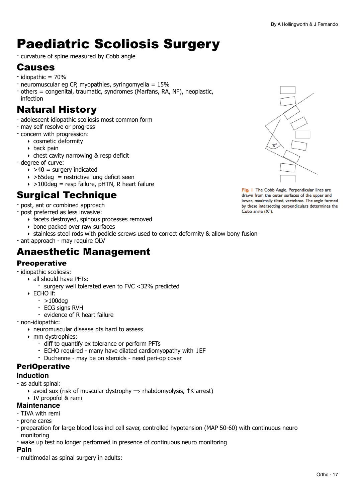## <span id="page-16-0"></span>Paediatric Scoliosis Surgery

- curvature of spine measured by Cobb angle

### Causes

- idiopathic = 70%
- neuromuscular eg CP, myopathies, syringomyelia = 15%
- others = congenital, traumatic, syndromes (Marfans, RA, NF), neoplastic, infection

### Natural History

- adolescent idiopathic scoliosis most common form
- may self resolve or progress
- concern with progression:
	- ‣ cosmetic deformity
	- ‣ back pain
	- ‣ chest cavity narrowing & resp deficit
- degree of curve:
	- $\rightarrow$  >40 = surgery indicated
	- $\rightarrow$  >65deg = restrictive lung deficit seen
	- $\rightarrow$  >100deg = resp failure, pHTN, R heart failure

### Surgical Technique

- post, ant or combined approach
- post preferred as less invasive:
	- ‣ facets destroyed, spinous processes removed
	- ‣ bone packed over raw surfaces
	- ‣ stainless steel rods with pedicle screws used to correct deformity & allow bony fusion
- ant approach may require OLV

### Anaesthetic Management

#### **Preoperative**

- idiopathic scoliosis:
	- ‣ all should have PFTs:
		- surgery well tolerated even to FVC <32% predicted
	- ‣ ECHO if:
		- $-$  >100deg
		- ECG signs RVH
		- evidence of R heart failure
- non-idiopathic:
	- ‣ neuromuscular disease pts hard to assess
	- ‣ mm dystrophies:
		- diff to quantify ex tolerance or perform PFTs
		- ECHO required many have dilated cardiomyopathy with ↓EF
		- Duchenne may be on steroids need peri-op cover

#### PeriOperative

#### **Induction**

- as adult spinal:
	- $\rightarrow$  avoid sux (risk of muscular dystrophy  $\Rightarrow$  rhabdomyolysis,  $\uparrow$ K arrest)
	- ‣ IV propofol & remi

#### **Maintenance**

- TIVA with remi
- prone cares
- preparation for large blood loss incl cell saver, controlled hypotension (MAP 50-60) with continuous neuro monitoring
- wake up test no longer performed in presence of continuous neuro monitoring

#### **Pain**

- multimodal as spinal surgery in adults:



Fig. I The Cobb Angle. Perpendicular lines are drawn from the outer surfaces of the upper and lower, maximally tilted, vertebrae. The angle formed by these intersecting perpendiculars determines the Cobb angle  $(X^{\circ})$ .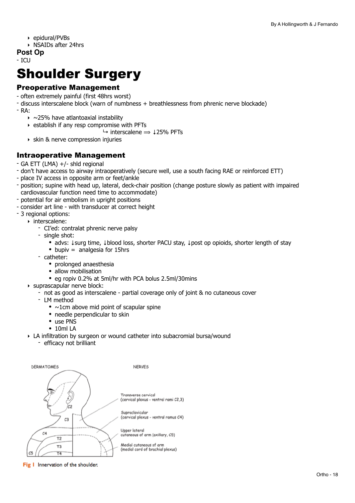- ‣ epidural/PVBs
- ‣ NSAIDs after 24hrs
- **Post Op**

- ICU

## <span id="page-17-0"></span>Shoulder Surgery

#### Preoperative Management

- often extremely painful (first 48hrs worst)
- discuss interscalene block (warn of numbness + breathlessness from phrenic nerve blockade)
- $-RA$ :
	- $\rightarrow$  ~25% have atlantoaxial instability
	- ‣ establish if any resp compromise with PFTs
		- $\rightarrow$  interscalene  $\rightarrow$  125% PFTs
	- ‣ skin & nerve compression injuries

#### Intraoperative Management

- GA ETT (LMA) +/- shld regional
- don't have access to airway intraoperatively (secure well, use a south facing RAE or reinforced ETT)
- place IV access in opposite arm or feet/ankle
- position; supine with head up, lateral, deck-chair position (change posture slowly as patient with impaired cardiovascular function need time to accommodate)
- potential for air embolism in upright positions
- consider art line with transducer at correct height
- 3 regional options:
	- ‣ interscalene:
		- CI'ed: contralat phrenic nerve palsy
		- single shot:
			- advs: ↓surg time, ↓blood loss, shorter PACU stay, ↓post op opioids, shorter length of stay
			- bupiv = analgesia for 15hrs
		- catheter:
			- prolonged anaesthesia
			- allow mobilisation
			- eg ropiv 0.2% at 5ml/hr with PCA bolus 2.5ml/30mins
	- ‣ suprascapular nerve block:
		- not as good as interscalene partial coverage only of joint & no cutaneous cover
		- LM method
			- $\bullet$  ~1cm above mid point of scapular spine
			- needle perpendicular to skin
			- use PNS
			- 10ml LA
	- ‣ LA infiltration by surgeon or wound catheter into subacromial bursa/wound
		- efficacy not brilliant



Fig I Innervation of the shoulder.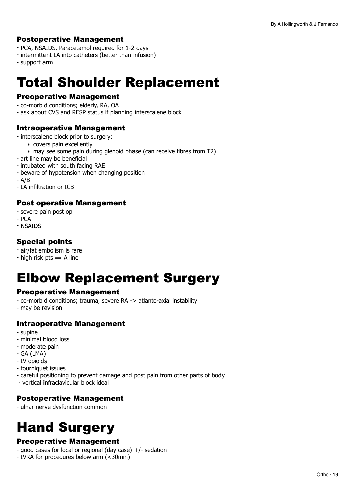#### Postoperative Management

- PCA, NSAIDS, Paracetamol required for 1-2 days
- intermittent LA into catheters (better than infusion)
- support arm

## <span id="page-18-0"></span>Total Shoulder Replacement

#### Preoperative Management

- co-morbid conditions; elderly, RA, OA
- ask about CVS and RESP status if planning interscalene block

#### Intraoperative Management

- interscalene block prior to surgery:
	- ‣ covers pain excellently
		- ‣ may see some pain during glenoid phase (can receive fibres from T2)
- art line may be beneficial
- intubated with south facing RAE
- beware of hypotension when changing position
- A/B
- LA infiltration or ICB

#### Post operative Management

- severe pain post op
- $-$  PCA
- NSAIDS

#### Special points

- air/fat embolism is rare
- high risk pts  $\Rightarrow$  A line

### <span id="page-18-1"></span>Elbow Replacement Surgery

#### Preoperative Management

- co-morbid conditions; trauma, severe RA -> atlanto-axial instability
- may be revision

#### Intraoperative Management

- supine
- minimal blood loss
- moderate pain
- GA (LMA)
- IV opioids
- tourniquet issues
- careful positioning to prevent damage and post pain from other parts of body
- vertical infraclavicular block ideal

#### Postoperative Management

- ulnar nerve dysfunction common

## <span id="page-18-2"></span>Hand Surgery

#### Preoperative Management

- good cases for local or regional (day case) +/- sedation
- IVRA for procedures below arm (<30min)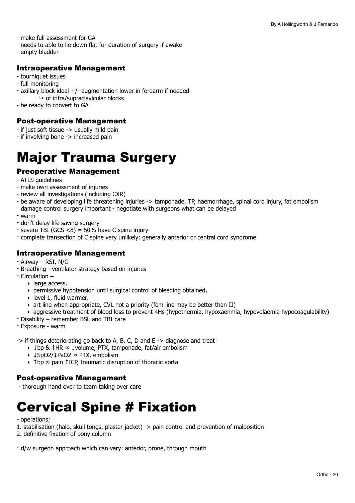- make full assessment for GA
- needs to able to lie down flat for duration of surgery if awake
- empty bladder

#### Intraoperative Management

- tourniquet issues
- full monitoring
- axillary block ideal +/- augmentation lower in forearm if needed  $\mapsto$  of infra/supraclavicular blocks
- be ready to convert to GA

#### Post-operative Management

- if just soft tissue -> usually mild pain
- if involving bone -> increased pain

## <span id="page-19-0"></span>Major Trauma Surgery

#### Preoperative Management

- ATLS guidelines
- make own assessment of injuries
- review all investigations (including CXR)
- be aware of developing life threatening injuries -> tamponade, TP, haemorrhage, spinal cord injury, fat embolism
- damage control surgery important negotiate with surgeons what can be delayed
- warm
- don't delay life saving surgery
- severe TBI (GCS  $<$ 8) = 50% have C spine injury
- complete transection of C spine very unlikely: generally anterior or central cord syndrome

#### Intraoperative Management

- Airway RSI, N/G
- Breathing ventilator strategy based on injuries
- Circulation
	- ‣ large access,
	- $\rightarrow$  permissive hypotension until surgical control of bleeding obtained,
	- $\rightarrow$  level 1, fluid warmer,
	- ‣ art line when appropriate, CVL not a priority (fem line may be better than IJ)
	- ‣ aggressive treatment of blood loss to prevent 4Hs (hypothermia, hypoxaenmia, hypovolaemia hypocoagulability)
- Disability remember BSL and TBI care
- Exposure warm

-> if things deteriorating go back to A, B, C, D and E -> diagnose and treat

- ‣ ↓bp & ↑HR ≈ ↓volume, PTX, tamponade, fat/air embolism
- ‣ ↓SpO2/↓PaO2 ≈ PTX, embolism
- ‣ ↑bp ≈ pain ↑ICP, traumatic disruption of thoracic aorta

#### Post-operative Management

- thorough hand over to team taking over care

## <span id="page-19-1"></span>Cervical Spine # Fixation

- operations;
- 1. stabilisation (halo, skull tongs, plaster jacket) -> pain control and prevention of malposition
- 2. definitive fixation of bony column

- d/w surgeon approach which can vary: anterior, prone, through mouth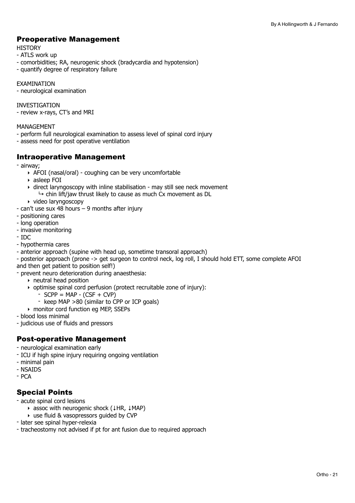#### Preoperative Management

#### **HISTORY**

- ATLS work up
- comorbidities; RA, neurogenic shock (bradycardia and hypotension)
- quantify degree of respiratory failure

EXAMINATION

- neurological examination

INVESTIGATION

- review x-rays, CT's and MRI

#### MANAGEMENT

- perform full neurological examination to assess level of spinal cord injury
- assess need for post operative ventilation

#### Intraoperative Management

- airway;
	- ‣ AFOI (nasal/oral) coughing can be very uncomfortable
	- ‣ asleep FOI
	- ‣ direct laryngoscopy with inline stabilisation may still see neck movement  $\rightarrow$  chin lift/jaw thrust likely to cause as much Cx movement as DL
	- ‣ video laryngoscopy
- can't use sux 48 hours 9 months after injury
- positioning cares
- long operation
- invasive monitoring
- IDC
- hypothermia cares
- anterior approach (supine with head up, sometime transoral approach)
- posterior approach (prone -> get surgeon to control neck, log roll, I should hold ETT, some complete AFOI and then get patient to position self!)
- prevent neuro deterioration during anaesthesia:
	- ‣ neutral head position
	- ‣ optimise spinal cord perfusion (protect recruitable zone of injury):
		- $SCPP = MAP (CSF + CVP)$
		- keep MAP >80 (similar to CPP or ICP goals)
	- ‣ monitor cord function eg MEP, SSEPs
- blood loss minimal
- judicious use of fluids and pressors

#### Post-operative Management

- neurological examination early
- ICU if high spine injury requiring ongoing ventilation
- minimal pain
- NSAIDS
- PCA

#### Special Points

- acute spinal cord lesions
	- ‣ assoc with neurogenic shock (↓HR, ↓MAP)
	- ‣ use fluid & vasopressors guided by CVP
- later see spinal hyper-relexia
- tracheostomy not advised if pt for ant fusion due to required approach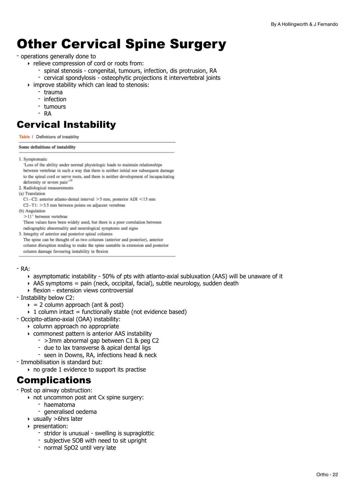## <span id="page-21-0"></span>Other Cervical Spine Surgery

#### - operations generally done to

- ‣ relieve compression of cord or roots from:
	- spinal stenosis congenital, tumours, infection, dis protrusion, RA
	- cervical spondylosis osteophytic projections it intervertebral joints
- ‣ improve stability which can lead to stenosis:
	- trauma
	- infection
	- tumours
	- RA

### Cervical Instability

Table | Definitions of instability

#### Some definitions of instability

1. Symptomatic

'Loss of the ability under normal physiologic loads to maintain relationships between vertebrae in such a way that there is neither initial nor subsequent damage to the spinal cord or nerve roots, and there is neither development of incapacitating deformity or severe pain'<sup>1</sup> 2. Radiological measurements (a) Translation C1-C2: anterior atlanto-dental interval >5 mm, posterior ADI <13 mm  $C2-T1$ : > 3.5 mm between points on adjacent vertebrae (b) Angulation

 $>11^{\circ}$  between vertebrae

These values have been widely used, but there is a poor correlation between radiographic abnormality and neurological symptoms and signs

3. Integrity of anterior and posterior spinal columns

The spine can be thought of as two columns (anterior and posterior), anterior column disruption tending to make the spine unstable in extension and posterior column damage favouring instability in flexion

 $-RA$ 

- $\rightarrow$  asymptomatic instability 50% of pts with atlanto-axial subluxation (AAS) will be unaware of it
- $\rightarrow$  AAS symptoms = pain (neck, occipital, facial), subtle neurology, sudden death
- ‣ flexion extension views controversial
- Instability below C2:
	- $\epsilon$  = 2 column approach (ant & post)
	- $\rightarrow$  1 column intact = functionally stable (not evidence based)
- Occipito-atlano-axial (OAA) instability:
	- ‣ column approach no appropriate
	- ‣ commonest pattern is anterior AAS instability
		- >3mm abnormal gap between C1 & peg C2
		- due to lax transverse & apical dental ligs
		- seen in Downs, RA, infections head & neck
- Immobilisation is standard but:
	- $\rightarrow$  no grade 1 evidence to support its practise

### **Complications**

- Post op airway obstruction:

- ‣ not uncommon post ant Cx spine surgery:
	- haematoma
		- generalised oedema
- $\triangleright$  usually  $>6$ hrs later
- ‣ presentation:
	- stridor is unusual swelling is supraglottic
	- subjective SOB with need to sit upright
	- normal SpO2 until very late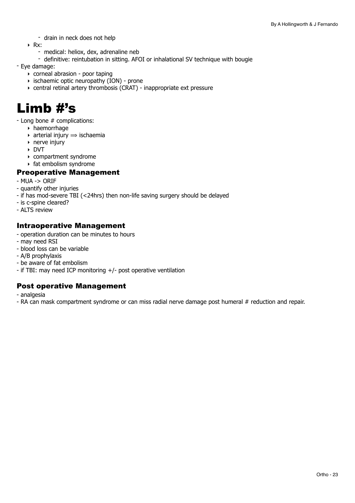- drain in neck does not help
- ‣ Rx:
	- medical: heliox, dex, adrenaline neb
	- definitive: reintubation in sitting. AFOI or inhalational SV technique with bougie
- Eye damage:
	- ‣ corneal abrasion poor taping
	- ‣ ischaemic optic neuropathy (ION) prone
	- ‣ central retinal artery thrombosis (CRAT) inappropriate ext pressure

### <span id="page-22-0"></span>Limb #'s

- Long bone # complications:

- ‣ haemorrhage
- $\rightarrow$  arterial injury  $\rightarrow$  ischaemia
- $\rightarrow$  nerve injury
- ‣ DVT
- ‣ compartment syndrome
- ‣ fat embolism syndrome

#### Preoperative Management

- MUA -> ORIF
- quantify other injuries
- if has mod-severe TBI (<24hrs) then non-life saving surgery should be delayed
- is c-spine cleared?
- ALTS review

#### Intraoperative Management

- operation duration can be minutes to hours
- may need RSI
- blood loss can be variable
- A/B prophylaxis
- be aware of fat embolism
- if TBI: may need ICP monitoring +/- post operative ventilation

#### Post operative Management

- analgesia
- RA can mask compartment syndrome or can miss radial nerve damage post humeral # reduction and repair.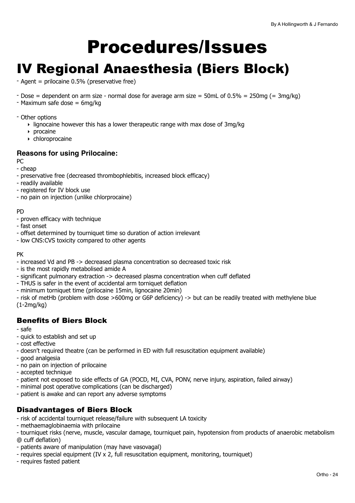# <span id="page-23-0"></span>Procedures/Issues

### <span id="page-23-1"></span>IV Regional Anaesthesia (Biers Block)

- Agent = prilocaine 0.5% (preservative free)
- Dose = dependent on arm size normal dose for average arm size = 50mL of  $0.5% = 250mg (= 3mg/kg)$
- Maximum safe dose = 6mg/kg

#### - Other options

- $\rightarrow$  lignocaine however this has a lower therapeutic range with max dose of 3mg/kg
- ‣ procaine
- ‣ chloroprocaine

#### **Reasons for using Prilocaine:**

PC

- cheap
- preservative free (decreased thrombophlebitis, increased block efficacy)
- readily available
- registered for IV block use
- no pain on injection (unlike chlorprocaine)

#### PD

- proven efficacy with technique
- fast onset
- offset determined by tourniquet time so duration of action irrelevant
- low CNS:CVS toxicity compared to other agents

#### PK

- increased Vd and PB -> decreased plasma concentration so decreased toxic risk
- is the most rapidly metabolised amide A
- significant pulmonary extraction -> decreased plasma concentration when cuff deflated
- THUS is safer in the event of accidental arm torniquet deflation
- minimum torniquet time (prilocaine 15min, lignocaine 20min)

- risk of metHb (problem with dose >600mg or G6P deficiency) -> but can be readily treated with methylene blue (1-2mg/kg)

#### Benefits of Biers Block

- safe

- quick to establish and set up
- cost effective
- doesn't required theatre (can be performed in ED with full resuscitation equipment available)
- good analgesia
- no pain on injection of prilocaine
- accepted technique
- patient not exposed to side effects of GA (POCD, MI, CVA, PONV, nerve injury, aspiration, failed airway)
- minimal post operative complications (can be discharged)
- patient is awake and can report any adverse symptoms

#### Disadvantages of Biers Block

- risk of accidental tourniquet release/failure with subsequent LA toxicity
- methaemaglobinaemia with prilocaine
- tourniquet risks (nerve, muscle, vascular damage, tourniquet pain, hypotension from products of anaerobic metabolism @ cuff deflation)
- patients aware of manipulation (may have vasovagal)
- requires special equipment (IV x 2, full resuscitation equipment, monitoring, tourniquet)
- requires fasted patient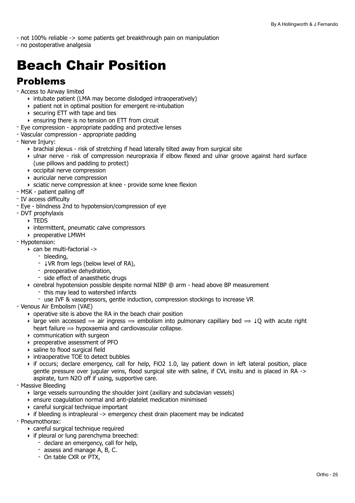- not 100% reliable -> some patients get breakthrough pain on manipulation

- no postoperative analgesia

## <span id="page-24-0"></span>Beach Chair Position

### Problems

- Access to Airway limited
	- ‣ intubate patient (LMA may become dislodged intraoperatively)
	- ‣ patient not in optimal position for emergent re-intubation
	- $\rightarrow$  securing ETT with tape and ties
	- ‣ ensuring there is no tension on ETT from circuit
- Eye compression appropriate padding and protective lenses
- Vascular compression appropriate padding
- Nerve Injury:
	- ‣ brachial plexus risk of stretching if head laterally tilted away from surgical site
	- ‣ ulnar nerve risk of compression neuropraxia if elbow flexed and ulnar groove against hard surface (use pillows and padding to protect)
	- ‣ occipital nerve compression
	- ‣ auricular nerve compression
	- ‣ sciatic nerve compression at knee provide some knee flexion
- MSK patient palling off
- IV access difficulty
- Eye blindness 2nd to hypotension/compression of eye
- DVT prophylaxis
	- ‣ TEDS
	- ‣ intermittent, pneumatic calve compressors
	- ‣ preoperative LMWH
- Hypotension:
	- ‣ can be multi-factorial ->
		- bleeding,
		- ↓VR from legs (below level of RA),
		- preoperative dehydration,
		- side effect of anaesthetic drugs
	- ‣ cerebral hypotension possible despite normal NIBP @ arm head above BP measurement
		- this may lead to watershed infarcts
		- use IVF & vasopressors, gentle induction, compression stockings to increase VR
- Venous Air Embolism (VAE)
	- ‣ operative site is above the RA in the beach chair position
	- $\rightarrow$  large vein accessed  $\rightarrow$  air ingress  $\rightarrow$  embolism into pulmonary capillary bed  $\rightarrow$  +Q with acute right heart failure  $\Rightarrow$  hypoxaemia and cardiovascular collapse.
	- ‣ communication with surgeon
	- ‣ preoperative assessment of PFO
	- ‣ saline to flood surgical field
	- ‣ intraoperative TOE to detect bubbles
	- ‣ if occurs; declare emergency, call for help, FiO2 1.0, lay patient down in left lateral position, place gentle pressure over jugular veins, flood surgical site with saline, if CVL insitu and is placed in RA -> aspirate, turn N2O off if using, supportive care.
- Massive Bleeding
	- ‣ large vessels surrounding the shoulder joint (axillary and subclavian vessels)
	- ‣ ensure coagulation normal and anti-platelet medication minimised
	- ‣ careful surgical technique important
	- $\rightarrow$  if bleeding is intrapleural -> emergency chest drain placement may be indicated
- Pneumothorax:
	- ‣ careful surgical technique required
	- ‣ if pleural or lung parenchyma breeched:
		- declare an emergency, call for help,
		- assess and manage A, B, C.
		- On table CXR or PTX,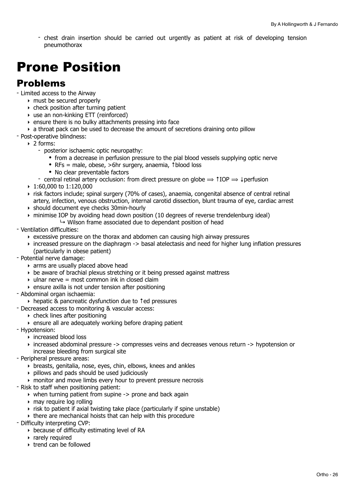- chest drain insertion should be carried out urgently as patient at risk of developing tension pneumothorax

## <span id="page-25-0"></span>Prone Position

### Problems

- Limited access to the Airway
	- ‣ must be secured properly
	- $\rightarrow$  check position after turning patient
	- ‣ use an non-kinking ETT (reinforced)
	- ‣ ensure there is no bulky attachments pressing into face
	- $\rightarrow$  a throat pack can be used to decrease the amount of secretions draining onto pillow
- Post-operative blindness:
	- ‣ 2 forms:
		- posterior ischaemic optic neuropathy:
			- from a decrease in perfusion pressure to the pial blood vessels supplying optic nerve
			- RFs = male, obese, >6hr surgery, anaemia, ↑blood loss
			- No clear preventable factors
		- central retinal artery occlusion: from direct pressure on globe  $\Rightarrow$  1IOP  $\Rightarrow$  4 perfusion
	- ‣ 1:60,000 to 1:120,000
	- ‣ risk factors include; spinal surgery (70% of cases), anaemia, congenital absence of central retinal artery, infection, venous obstruction, internal carotid dissection, blunt trauma of eye, cardiac arrest
	- ‣ should document eye checks 30min-hourly
	- ‣ minimise IOP by avoiding head down position (10 degrees of reverse trendelenburg ideal)
		- $\rightarrow$  Wilson frame associated due to dependant position of head
- Ventilation difficulties:
	- ‣ excessive pressure on the thorax and abdomen can causing high airway pressures
	- ‣ increased pressure on the diaphragm -> basal atelectasis and need for higher lung inflation pressures (particularly in obese patient)
- Potential nerve damage:
	- $\rightarrow$  arms are usually placed above head
	- ‣ be aware of brachial plexus stretching or it being pressed against mattress
	- $\rightarrow$  ulnar nerve = most common ink in closed claim
	- ‣ ensure axilla is not under tension after positioning
- Abdominal organ ischaemia:
- ‣ hepatic & pancreatic dysfunction due to ↑ed pressures
- Decreased access to monitoring & vascular access:
	- ‣ check lines after positioning
	- ‣ ensure all are adequately working before draping patient
- Hypotension:
	- ‣ increased blood loss
	- ‣ increased abdominal pressure -> compresses veins and decreases venous return -> hypotension or increase bleeding from surgical site
- Peripheral pressure areas:
	- ‣ breasts, genitalia, nose, eyes, chin, elbows, knees and ankles
	- ‣ pillows and pads should be used judiciously
	- ‣ monitor and move limbs every hour to prevent pressure necrosis
- Risk to staff when positioning patient:
	- ‣ when turning patient from supine -> prone and back again
	- ‣ may require log rolling
	- ‣ risk to patient if axial twisting take place (particularly if spine unstable)
	- ‣ there are mechanical hoists that can help with this procedure
- Difficulty interpreting CVP:
	- ‣ because of difficulty estimating level of RA
	- ‣ rarely required
	- ‣ trend can be followed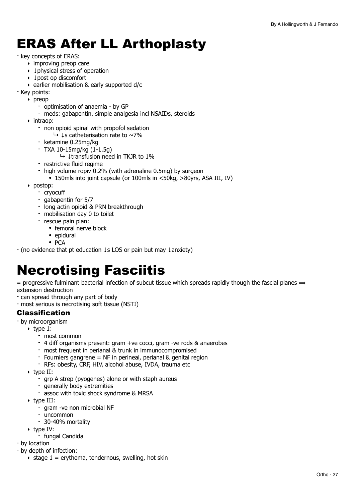## <span id="page-26-0"></span>ERAS After LL Arthoplasty

#### - key concepts of ERAS:

- $\rightarrow$  improving preop care
- ‣ ↓physical stress of operation
- ‣ ↓post op discomfort
- ‣ earlier mobilisation & early supported d/c
- Key points:
- ‣ preop
	- optimisation of anaemia by GP
	- meds: gabapentin, simple analgesia incl NSAIDs, steroids
	- ‣ intraop:
		- non opioid spinal with propofol sedation
			- ↳ ↓s catheterisation rate to ~7%
		- ketamine 0.25mg/kg
		- TXA 10-15mg/kg (1-1.5g)
			- ↳ ↓transfusion need in TKJR to 1%
		- restrictive fluid regime
		- high volume ropiv 0.2% (with adrenaline 0.5mg) by surgeon
		- 150mls into joint capsule (or 100mls in <50kg, >80yrs, ASA III, IV)
	- ‣ postop:
		- cryocuff
		- gabapentin for 5/7
		- long actin opioid & PRN breakthrough
		- mobilisation day 0 to toilet
		- rescue pain plan:
			- femoral nerve block
			- epidural
			- PCA

- (no evidence that pt education ↓s LOS or pain but may ↓anxiety)

## <span id="page-26-1"></span>Necrotising Fasciitis

= progressive fulminant bacterial infection of subcut tissue which spreads rapidly though the fascial planes  $\Rightarrow$ extension destruction

- can spread through any part of body
- most serious is necrotising soft tissue (NSTI)

#### Classification

- by microorganism
	- $\triangleright$  type 1:
		- most common
		- 4 diff organisms present: gram +ve cocci, gram -ve rods & anaerobes
		- most frequent in perianal & trunk in immunocompromised
		- Fourniers gangrene = NF in perineal, perianal & genital region
		- RFs: obesity, CRF, HIV, alcohol abuse, IVDA, trauma etc
	- ‣ type II:
		- grp A strep (pyogenes) alone or with staph aureus
		- generally body extremities
		- assoc with toxic shock syndrome & MRSA
	- ‣ type III:
		- gram -ve non microbial NF
		- uncommon
		- 30-40% mortality
	- ‣ type IV:
		- fungal Candida
- by location
- by depth of infection:
	- $\rightarrow$  stage 1 = erythema, tendernous, swelling, hot skin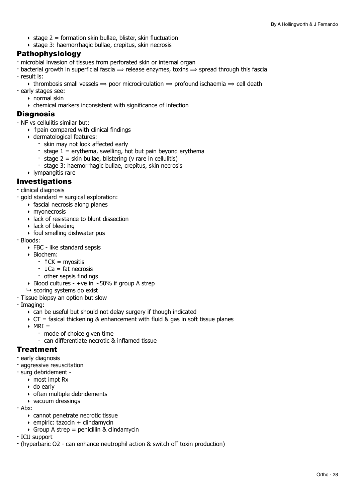- $\rightarrow$  stage 2 = formation skin bullae, blister, skin fluctuation
- ‣ stage 3: haemorrhagic bullae, crepitus, skin necrosis

#### Pathophysiology

- microbial invasion of tissues from perforated skin or internal organ
- bacterial growth in superficial fascia  $\Rightarrow$  release enzymes, toxins  $\Rightarrow$  spread through this fascia
- result is:
	- $\rightarrow$  thrombosis small vessels  $\rightarrow$  poor microcirculation  $\rightarrow$  profound ischaemia  $\rightarrow$  cell death
- early stages see:
	- $\rightarrow$  normal skin
	- ‣ chemical markers inconsistent with significance of infection

#### **Diagnosis**

- NF vs cellulitis similar but:
	- ‣ ↑pain compared with clinical findings
	- ‣ dermatological features:
		- skin may not look affected early
		- stage  $1 =$  erythema, swelling, hot but pain beyond erythema
		- stage  $2 =$  skin bullae, blistering (v rare in cellulitis)
		- stage 3: haemorrhagic bullae, crepitus, skin necrosis
	- ‣ lympangitis rare

#### Investigations

- clinical diagnosis
- gold standard = surgical exploration:
	- $\rightarrow$  fascial necrosis along planes
	- ‣ myonecrosis
	- ‣ lack of resistance to blunt dissection
	- $\triangleright$  lack of bleeding
	- ‣ foul smelling dishwater pus
- Bloods:
	- ‣ FBC like standard sepsis
	- ‣ Biochem:
		- ↑CK = myositis
		- ↓Ca = fat necrosis
		- other sepsis findings
	- $\rightarrow$  Blood cultures +ve in  $\sim$ 50% if group A strep
	- $ightharpoonup$  scoring systems do exist
- Tissue biopsy an option but slow
- Imaging:
	- ‣ can be useful but should not delay surgery if though indicated
	- $\triangleright$  CT = fasical thickening & enhancement with fluid & gas in soft tissue planes
	- $\triangleright$  MRI =
		- mode of choice given time
			- can differentiate necrotic & inflamed tissue

#### **Treatment**

- early diagnosis
- aggressive resuscitation
- surg debridement
	- ‣ most impt Rx
	- ‣ do early
	- ‣ often multiple debridements
	- ‣ vacuum dressings
- Abx:
	- ‣ cannot penetrate necrotic tissue
	- $\rightarrow$  empiric: tazocin + clindamycin
	- $\triangleright$  Group A strep = penicillin & clindamycin
- ICU support
- (hyperbaric O2 can enhance neutrophil action & switch off toxin production)